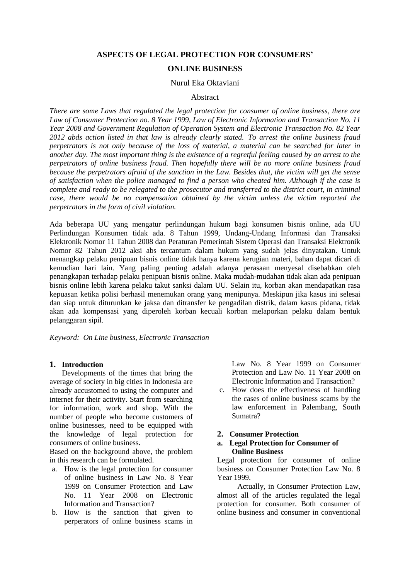# **ASPECTS OF LEGAL PROTECTION FOR CONSUMERS'**

# **ONLINE BUSINESS**

#### Nurul Eka Oktaviani

## Abstract

*There are some Laws that regulated the legal protection for consumer of online business, there are Law of Consumer Protection no. 8 Year 1999, Law of Electronic Information and Transaction No. 11 Year 2008 and Government Regulation of Operation System and Electronic Transaction No. 82 Year 2012 abds action listed in that law is already clearly stated. To arrest the online business fraud perpetrators is not only because of the loss of material, a material can be searched for later in another day. The most important thing is the existence of a regretful feeling caused by an arrest to the perpetrators of online business fraud. Then hopefully there will be no more online business fraud because the perpetrators afraid of the sanction in the Law. Besides that, the victim will get the sense of satisfaction when the police managed to find a person who cheated him. Although if the case is complete and ready to be relegated to the prosecutor and transferred to the district court, in criminal case, there would be no compensation obtained by the victim unless the victim reported the perpetrators in the form of civil violation.*

Ada beberapa UU yang mengatur perlindungan hukum bagi konsumen bisnis online, ada UU Perlindungan Konsumen tidak ada. 8 Tahun 1999, Undang-Undang Informasi dan Transaksi Elektronik Nomor 11 Tahun 2008 dan Peraturan Pemerintah Sistem Operasi dan Transaksi Elektronik Nomor 82 Tahun 2012 aksi abs tercantum dalam hukum yang sudah jelas dinyatakan. Untuk menangkap pelaku penipuan bisnis online tidak hanya karena kerugian materi, bahan dapat dicari di kemudian hari lain. Yang paling penting adalah adanya perasaan menyesal disebabkan oleh penangkapan terhadap pelaku penipuan bisnis online. Maka mudah-mudahan tidak akan ada penipuan bisnis online lebih karena pelaku takut sanksi dalam UU. Selain itu, korban akan mendapatkan rasa kepuasan ketika polisi berhasil menemukan orang yang menipunya. Meskipun jika kasus ini selesai dan siap untuk diturunkan ke jaksa dan ditransfer ke pengadilan distrik, dalam kasus pidana, tidak akan ada kompensasi yang diperoleh korban kecuali korban melaporkan pelaku dalam bentuk pelanggaran sipil.

*Keyword: On Line business, Electronic Transaction*

#### **1. Introduction**

Developments of the times that bring the average of society in big cities in Indonesia are already accustomed to using the computer and internet for their activity. Start from searching for information, work and shop. With the number of people who become customers of online businesses, need to be equipped with the knowledge of legal protection for consumers of online business.

Based on the background above, the problem in this research can be formulated.

- a. How is the legal protection for consumer of online business in Law No. 8 Year 1999 on Consumer Protection and Law No. 11 Year 2008 on Electronic Information and Transaction?
- b. How is the sanction that given to perperators of online business scams in

Law No. 8 Year 1999 on Consumer Protection and Law No. 11 Year 2008 on Electronic Information and Transaction?

c. How does the effectiveness of handling the cases of online business scams by the law enforcement in Palembang, South Sumatra?

#### **2. Consumer Protection**

## **a. Legal Protection for Consumer of Online Business**

Legal protection for consumer of online business on Consumer Protection Law No. 8 Year 1999.

Actually, in Consumer Protection Law, almost all of the articles regulated the legal protection for consumer. Both consumer of online business and consumer in conventional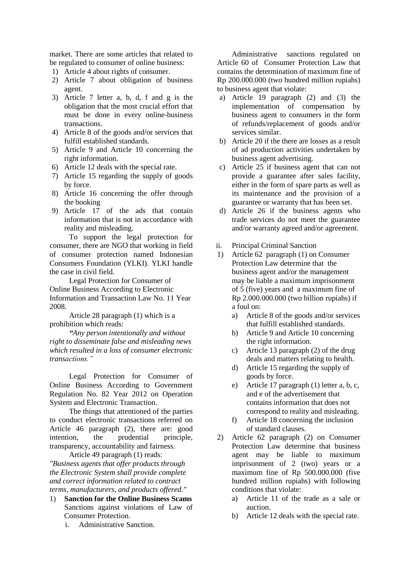market. There are some articles that related to be regulated to consumer of online business:

- 1) Article 4 about rights of consumer.
- 2) Article 7 about obligation of business agent.
- 3) Article 7 letter a, b, d, f and g is the obligation that the most crucial effort that must be done in every online-business transactions.
- 4) Article 8 of the goods and/or services that fulfill established standards.
- 5) Article 9 and Article 10 concerning the right information.
- 6) Article 12 deals with the special rate.
- 7) Article 15 regarding the supply of goods by force.
- 8) Article 16 concerning the offer through the booking
- 9) Article 17 of the ads that contain information that is not in accordance with reality and misleading.

To support the legal protection for consumer, there are NGO that working in field of consumer protection named Indonesian Consumers Foundation (YLKI). YLKI handle the case in civil field.

Legal Protection for Consumer of Online Business According to Electronic Information and Transaction Law No. 11 Year 2008.

Article 28 paragraph (1) which is a prohibition which reads:

*"Any person intentionally and without right to disseminate false and misleading news which resulted in a loss of consumer electronic transactions."*

Legal Protection for Consumer of Online Business According to Government Regulation No. 82 Year 2012 on Operation System and Electronic Transaction.

The things that attentioned of the parties to conduct electronic transactions referred on Article 46 paragraph (2), there are: good intention, the prudential principle, transparency, accountability and fairness.

Article 49 paragraph (1) reads: *"Business agents that offer products through the Electronic System shall provide complete and correct information related to contract terms, manufacturers, and products offered."*

- 1) **Sanction for the Online Business Scams** Sanctions against violations of Law of Consumer Protection.
	- i. Administrative Sanction.

Administrative sanctions regulated on Article 60 of Consumer Protection Law that contains the determination of maximum fine of Rp 200.000.000 (two hundred million rupiahs) to business agent that violate:

- a) Article 19 paragraph (2) and (3) the implementation of compensation by business agent to consumers in the form of refunds/replacement of goods and/or services similar.
- b) Article 20 if the there are losses as a result of ad production activities undertaken by business agent advertising.
- c) Article 25 if business agent that can not provide a guarantee after sales facility, either in the form of spare parts as well as its maintenance and the provision of a guarantee or warranty that has been set.
- d) Article 26 if the business agents who trade services do not meet the guarantee and/or warranty agreed and/or agreement.
- ii. Principal Criminal Sanction
- 1) Article 62 paragraph (1) on Consumer Protection Law determine that the business agent and/or the management may be liable a maximum imprisonment of 5 (five) years and a maximum fine of Rp 2.000.000.000 (two billion rupiahs) if a foul on:
	- a) Article 8 of the goods and/or services that fulfill established standards.
	- b) Article 9 and Article 10 concerning the right information.
	- c) Article 13 paragraph (2) of the drug deals and matters relating to health.
	- d) Article 15 regarding the supply of goods by force.
	- e) Article 17 paragraph (1) letter a, b, c, and e of the advertisement that contains information that does not correspond to reality and misleading.
	- f) Article 18 concerning the inclusion of standard clauses.
- 2) Article 62 paragraph (2) on Consumer Protection Law determine that business agent may be liable to maximum imprisonment of 2 (two) years or a maximum fine of Rp 500.000.000 (five hundred million rupiahs) with following conditions that violate:
	- a) Article 11 of the trade as a sale or auction.
	- b) Article 12 deals with the special rate.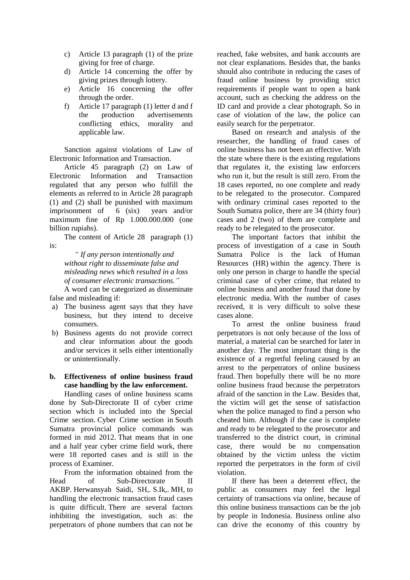- c) Article 13 paragraph (1) of the prize giving for free of charge.
- d) Article 14 concerning the offer by giving prizes through lottery.
- e) Article 16 concerning the offer through the order.
- f) Article 17 paragraph (1) letter d and f the production advertisements conflicting ethics, morality and applicable law.

Sanction against violations of Law of Electronic Information and Transaction.

Article 45 paragraph (2) on Law of Electronic Information and Transaction regulated that any person who fulfill the elements as referred to in Article 28 paragraph (1) and (2) shall be punished with maximum imprisonment of 6 (six) years and/or maximum fine of Rp 1.000.000.000 (one billion rupiahs).

The content of Article 28 paragraph (1) is:

> *" If any person intentionally and without right to disseminate false and misleading news which resulted in a loss of consumer electronic transactions."*

A word can be categorized as disseminate false and misleading if:

- a) The business agent says that they have business, but they intend to deceive consumers.
- b) Business agents do not provide correct and clear information about the goods and/or services it sells either intentionally or unintentionally.

# **b. Effectiveness of online business fraud case handling by the law enforcement.**

Handling cases of online business scams done by Sub-Directorate II of cyber crime section which is included into the Special Crime section. Cyber Crime section in South Sumatra provincial police commands was formed in mid 2012. That means that in one and a half year cyber crime field work, there were 18 reported cases and is still in the process of Examiner.

From the information obtained from the Head of Sub-Directorate II AKBP. Herwansyah Saidi, SH,. S.Ik,. MH, to handling the electronic transaction fraud cases is quite difficult. There are several factors inhibiting the investigation, such as: the perpetrators of phone numbers that can not be reached, fake websites, and bank accounts are not clear explanations. Besides that, the banks should also contribute in reducing the cases of fraud online business by providing strict requirements if people want to open a bank account, such as checking the address on the ID card and provide a clear photograph. So in case of violation of the law, the police can easily search for the perpetrator.

Based on research and analysis of the researcher, the handling of fraud cases of online business has not been an effective. With the state where there is the existing regulations that regulates it, the existing law enforcers who run it, but the result is still zero. From the 18 cases reported, no one complete and ready to be relegated to the prosecutor. Compared with ordinary criminal cases reported to the South Sumatra police, there are 34 (thirty four) cases and 2 (two) of them are complete and ready to be relegated to the prosecutor.

The important factors that inhibit the process of investigation of a case in South Sumatra Police is the lack of Human Resources (HR) within the agency. There is only one person in charge to handle the special criminal case of cyber crime, that related to online business and another fraud that done by electronic media. With the number of cases received, it is very difficult to solve these cases alone.

To arrest the online business fraud perpetrators is not only because of the loss of material, a material can be searched for later in another day. The most important thing is the existence of a regretful feeling caused by an arrest to the perpetrators of online business fraud. Then hopefully there will be no more online business fraud because the perpetrators afraid of the sanction in the Law. Besides that, the victim will get the sense of satisfaction when the police managed to find a person who cheated him. Although if the case is complete and ready to be relegated to the prosecutor and transferred to the district court, in criminal case, there would be no compensation obtained by the victim unless the victim reported the perpetrators in the form of civil violation.

If there has been a deterrent effect, the public as consumers may feel the legal certainty of transactions via online, because of this online business transactions can be the job by people in Indonesia. Business online also can drive the economy of this country by